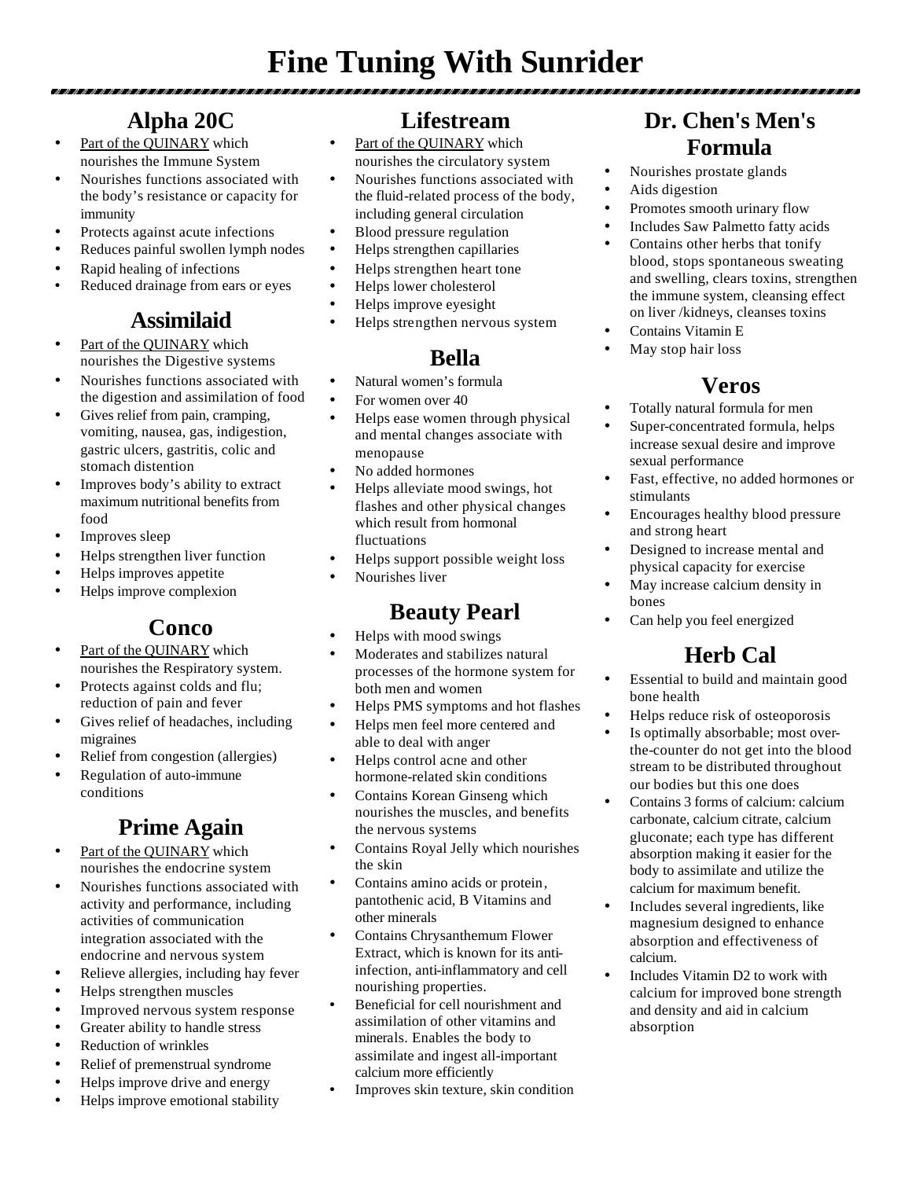# **Fine Tuning With Sunrider**

# **Alpha 20C**

- Part of the QUINARY which nourishes the Immune System
- Nourishes functions associated with the body's resistance or capacity for immunity
- Protects against acute infections
- Reduces painful swollen lymph nodes
- Rapid healing of infections
- Reduced drainage from ears or eyes

# **Assimilaid**

- Part of the QUINARY which nourishes the Digestive systems
- Nourishes functions associated with the digestion and assimilation of food
- Gives relief from pain, cramping, vomiting, nausea, gas, indigestion, gastric ulcers, gastritis, colic and stomach distention
- Improves body's ability to extract maximum nutritional benefits from food
- Improves sleep
- Helps strengthen liver function
- Helps improves appetite
- Helps improve complexion

### **Conco**

- Part of the QUINARY which nourishes the Respiratory system.
- Protects against colds and flu; reduction of pain and fever
- Gives relief of headaches, including migraines
- Relief from congestion (allergies)
- Regulation of auto-immune conditions

# **Prime Again**

- Part of the QUINARY which nourishes the endocrine system
- Nourishes functions associated with activity and performance, including activities of communication integration associated with the endocrine and nervous system
- Relieve allergies, including hay fever
- Helps strengthen muscles
- Improved nervous system response
- Greater ability to handle stress
- Reduction of wrinkles
- Relief of premenstrual syndrome
- Helps improve drive and energy
- Helps improve emotional stability

### **Lifestream**

- Part of the QUINARY which nourishes the circulatory system
- Nourishes functions associated with the fluid-related process of the body, including general circulation
- Blood pressure regulation
- Helps strengthen capillaries
- Helps strengthen heart tone
- Helps lower cholesterol
- Helps improve eyesight
- Helps strengthen nervous system

# **Bella**

- Natural women's formula
- For women over 40
- Helps ease women through physical and mental changes associate with menopause
- No added hormones
- Helps alleviate mood swings, hot flashes and other physical changes which result from hormonal fluctuations
- Helps support possible weight loss
- Nourishes liver

### **Beauty Pearl**

- Helps with mood swings
- Moderates and stabilizes natural processes of the hormone system for both men and women
- Helps PMS symptoms and hot flashes
- Helps men feel more centered and able to deal with anger
- Helps control acne and other hormone-related skin conditions
- Contains Korean Ginseng which nourishes the muscles, and benefits the nervous systems
- Contains Royal Jelly which nourishes the skin
- Contains amino acids or protein, pantothenic acid, B Vitamins and other minerals
- Contains Chrysanthemum Flower Extract, which is known for its antiinfection, anti-inflammatory and cell nourishing properties.
- Beneficial for cell nourishment and assimilation of other vitamins and minerals. Enables the body to assimilate and ingest all-important calcium more efficiently
- Improves skin texture, skin condition

# **Dr. Chen's Men's Formula**

- Nourishes prostate glands
- Aids digestion
- Promotes smooth urinary flow
- Includes Saw Palmetto fatty acids
- Contains other herbs that tonify blood, stops spontaneous sweating and swelling, clears toxins, strengthen the immune system, cleansing effect on liver /kidneys, cleanses toxins
- Contains Vitamin E
- May stop hair loss

### **Veros**

- Totally natural formula for men
- Super-concentrated formula, helps increase sexual desire and improve sexual performance
- Fast, effective, no added hormones or stimulants
- Encourages healthy blood pressure and strong heart
- Designed to increase mental and physical capacity for exercise
- May increase calcium density in bones
- Can help you feel energized

# **Herb Cal**

- Essential to build and maintain good bone health
- Helps reduce risk of osteoporosis
- Is optimally absorbable; most overthe-counter do not get into the blood stream to be distributed throughout our bodies but this one does
- Contains 3 forms of calcium: calcium carbonate, calcium citrate, calcium gluconate; each type has different absorption making it easier for the body to assimilate and utilize the calcium for maximum benefit.
- Includes several ingredients, like magnesium designed to enhance absorption and effectiveness of calcium.
- Includes Vitamin D2 to work with calcium for improved bone strength and density and aid in calcium absorption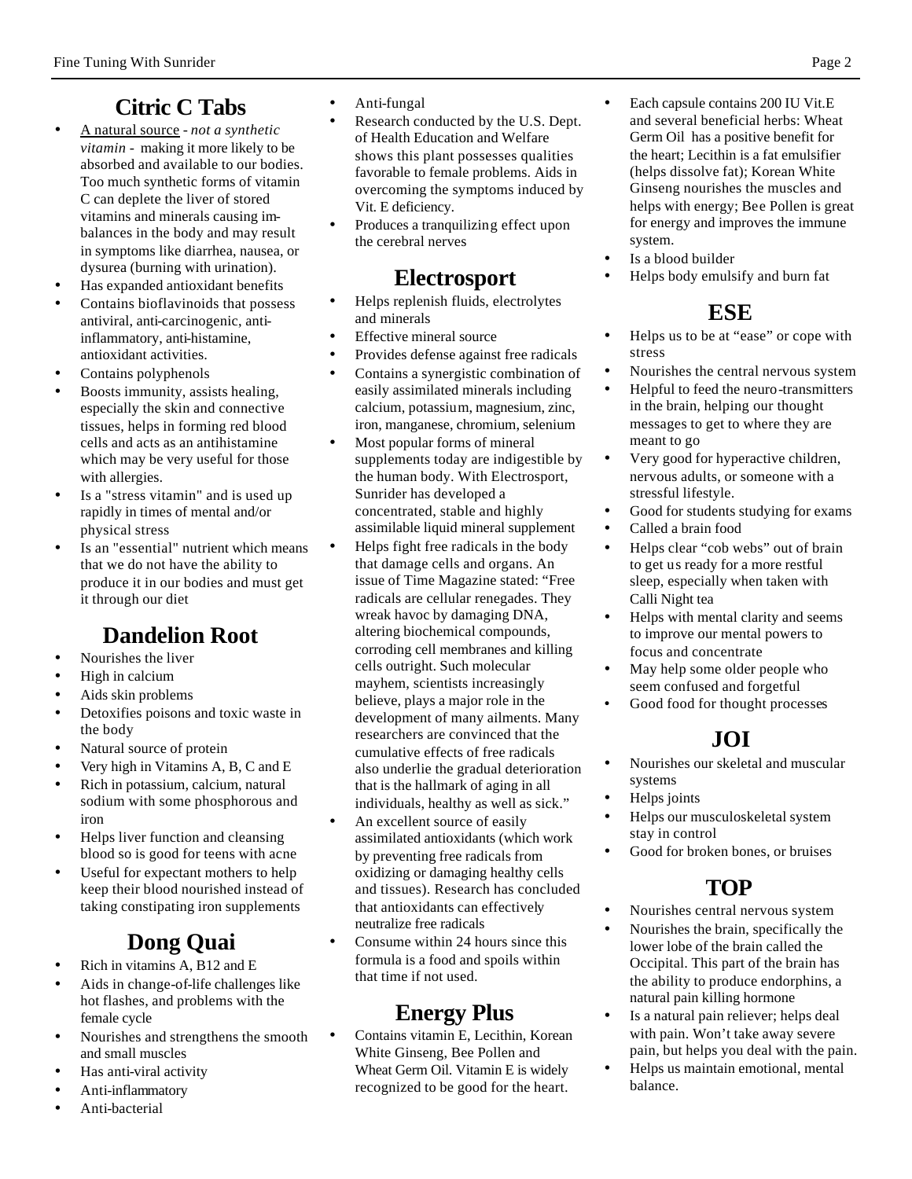# **Citric C Tabs**

- A natural source *not a synthetic vitamin* - making it more likely to be absorbed and available to our bodies. Too much synthetic forms of vitamin C can deplete the liver of stored vitamins and minerals causing imbalances in the body and may result in symptoms like diarrhea, nausea, or dysurea (burning with urination).
- Has expanded antioxidant benefits
- Contains bioflavinoids that possess antiviral, anti-carcinogenic, antiinflammatory, anti-histamine, antioxidant activities.
- Contains polyphenols
- Boosts immunity, assists healing, especially the skin and connective tissues, helps in forming red blood cells and acts as an antihistamine which may be very useful for those with allergies.
- Is a "stress vitamin" and is used up rapidly in times of mental and/or physical stress
- Is an "essential" nutrient which means that we do not have the ability to produce it in our bodies and must get it through our diet

# **Dandelion Root**

- Nourishes the liver
- High in calcium
- Aids skin problems
- Detoxifies poisons and toxic waste in the body
- Natural source of protein
- Very high in Vitamins A, B, C and E
- Rich in potassium, calcium, natural sodium with some phosphorous and iron
- Helps liver function and cleansing blood so is good for teens with acne
- Useful for expectant mothers to help keep their blood nourished instead of taking constipating iron supplements

# **Dong Quai**

- Rich in vitamins A, B12 and E
- Aids in change-of-life challenges like hot flashes, and problems with the female cycle
- Nourishes and strengthens the smooth and small muscles
- Has anti-viral activity
- Anti-inflammatory
- Anti-bacterial
- Anti-fungal
- Research conducted by the U.S. Dept. of Health Education and Welfare shows this plant possesses qualities favorable to female problems. Aids in overcoming the symptoms induced by Vit. E deficiency.
- Produces a tranquilizing effect upon the cerebral nerves

### **Electrosport**

- Helps replenish fluids, electrolytes and minerals
- **Effective mineral source**
- Provides defense against free radicals
- Contains a synergistic combination of easily assimilated minerals including calcium, potassium, magnesium, zinc, iron, manganese, chromium, selenium
- Most popular forms of mineral supplements today are indigestible by the human body. With Electrosport, Sunrider has developed a concentrated, stable and highly assimilable liquid mineral supplement
- Helps fight free radicals in the body that damage cells and organs. An issue of Time Magazine stated: "Free radicals are cellular renegades. They wreak havoc by damaging DNA, altering biochemical compounds, corroding cell membranes and killing cells outright. Such molecular mayhem, scientists increasingly believe, plays a major role in the development of many ailments. Many researchers are convinced that the cumulative effects of free radicals also underlie the gradual deterioration that is the hallmark of aging in all individuals, healthy as well as sick."
- An excellent source of easily assimilated antioxidants (which work by preventing free radicals from oxidizing or damaging healthy cells and tissues). Research has concluded that antioxidants can effectively neutralize free radicals
- Consume within 24 hours since this formula is a food and spoils within that time if not used.

# **Energy Plus**

• Contains vitamin E, Lecithin, Korean White Ginseng, Bee Pollen and Wheat Germ Oil. Vitamin E is widely recognized to be good for the heart.

- Each capsule contains 200 IU Vit.E and several beneficial herbs: Wheat Germ Oil has a positive benefit for the heart; Lecithin is a fat emulsifier (helps dissolve fat); Korean White Ginseng nourishes the muscles and helps with energy; Bee Pollen is great for energy and improves the immune system.
- Is a blood builder
- Helps body emulsify and burn fat

# **ESE**

- Helps us to be at "ease" or cope with stress
- Nourishes the central nervous system
- Helpful to feed the neuro-transmitters in the brain, helping our thought messages to get to where they are meant to go
- Very good for hyperactive children, nervous adults, or someone with a stressful lifestyle.
- Good for students studying for exams
- Called a brain food
- Helps clear "cob webs" out of brain to get us ready for a more restful sleep, especially when taken with Calli Night tea
- Helps with mental clarity and seems to improve our mental powers to focus and concentrate
- May help some older people who seem confused and forgetful
- Good food for thought processes

# **JOI**

- Nourishes our skeletal and muscular systems
- Helps joints
- Helps our musculoskeletal system stay in control
- Good for broken bones, or bruises

### **TOP**

- Nourishes central nervous system
- Nourishes the brain, specifically the lower lobe of the brain called the Occipital. This part of the brain has the ability to produce endorphins, a natural pain killing hormone
- Is a natural pain reliever; helps deal with pain. Won't take away severe pain, but helps you deal with the pain.
- Helps us maintain emotional, mental balance.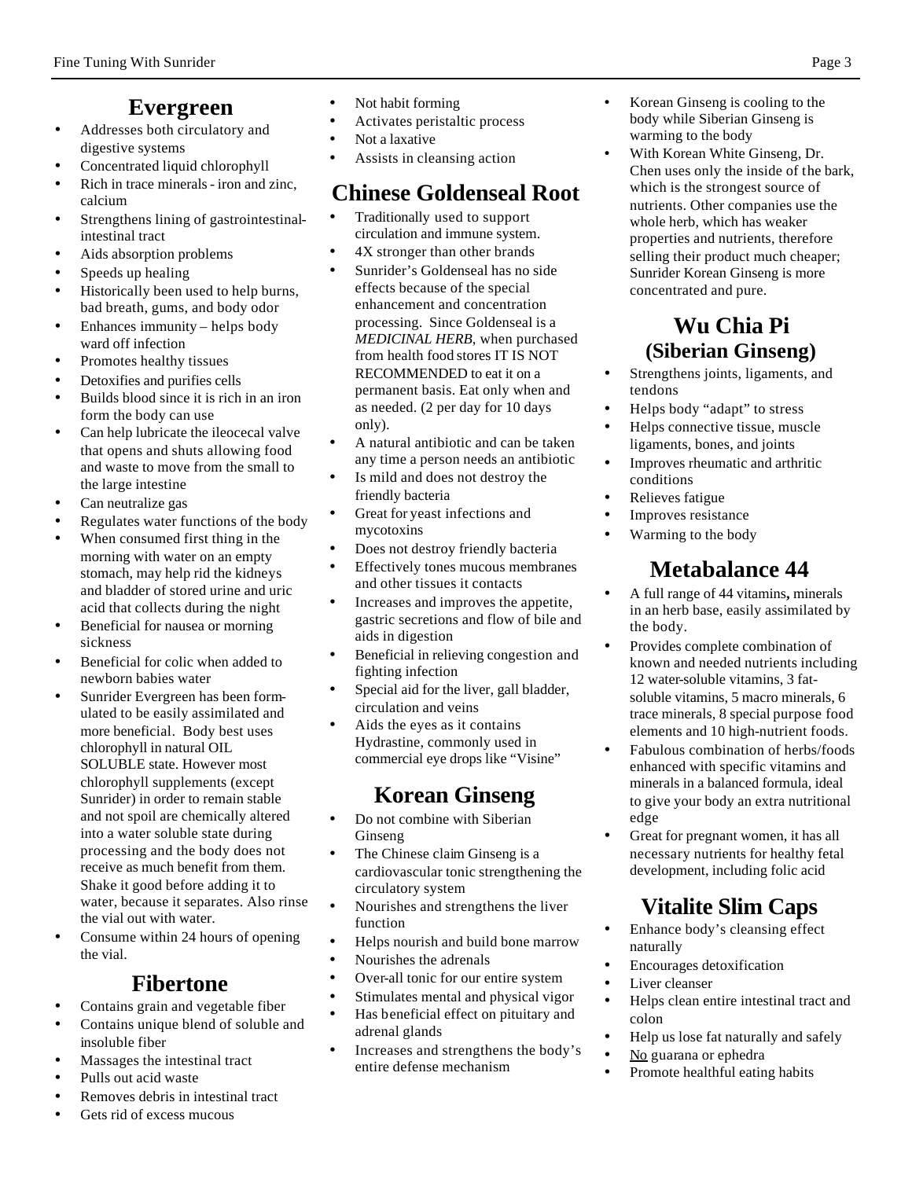### **Evergreen**

- Addresses both circulatory and digestive systems
- Concentrated liquid chlorophyll
- Rich in trace minerals iron and zinc, calcium
- Strengthens lining of gastrointestinalintestinal tract
- Aids absorption problems
- Speeds up healing
- Historically been used to help burns, bad breath, gums, and body odor
- Enhances immunity helps body ward off infection
- Promotes healthy tissues
- Detoxifies and purifies cells
- Builds blood since it is rich in an iron form the body can use
- Can help lubricate the ileocecal valve that opens and shuts allowing food and waste to move from the small to the large intestine
- Can neutralize gas
- Regulates water functions of the body
- When consumed first thing in the morning with water on an empty stomach, may help rid the kidneys and bladder of stored urine and uric acid that collects during the night
- Beneficial for nausea or morning sickness
- Beneficial for colic when added to newborn babies water
- Sunrider Evergreen has been formulated to be easily assimilated and more beneficial. Body best uses chlorophyll in natural OIL SOLUBLE state. However most chlorophyll supplements (except Sunrider) in order to remain stable and not spoil are chemically altered into a water soluble state during processing and the body does not receive as much benefit from them. Shake it good before adding it to water, because it separates. Also rinse the vial out with water.
- Consume within 24 hours of opening the vial.

#### **Fibertone**

- Contains grain and vegetable fiber
- Contains unique blend of soluble and insoluble fiber
- Massages the intestinal tract
- Pulls out acid waste
- Removes debris in intestinal tract
- Gets rid of excess mucous
- Not habit forming
- Activates peristaltic process
- Not a laxative
- Assists in cleansing action

### **Chinese Goldenseal Root**

- Traditionally used to support circulation and immune system.
- 4X stronger than other brands
- Sunrider's Goldenseal has no side effects because of the special enhancement and concentration processing. Since Goldenseal is a *MEDICINAL HERB*, when purchased from health food stores IT IS NOT RECOMMENDED to eat it on a permanent basis. Eat only when and as needed. (2 per day for 10 days only).
- A natural antibiotic and can be taken any time a person needs an antibiotic
- Is mild and does not destroy the friendly bacteria
- Great for yeast infections and mycotoxins
- Does not destroy friendly bacteria
- Effectively tones mucous membranes and other tissues it contacts
- Increases and improves the appetite, gastric secretions and flow of bile and aids in digestion
- Beneficial in relieving congestion and fighting infection
- Special aid for the liver, gall bladder, circulation and veins
- Aids the eyes as it contains Hydrastine, commonly used in commercial eye drops like "Visine"

### **Korean Ginseng**

- Do not combine with Siberian Ginseng
- The Chinese claim Ginseng is a cardiovascular tonic strengthening the circulatory system
- Nourishes and strengthens the liver function
- Helps nourish and build bone marrow
- Nourishes the adrenals
- Over-all tonic for our entire system
- Stimulates mental and physical vigor
- Has beneficial effect on pituitary and adrenal glands
- Increases and strengthens the body's entire defense mechanism
- Korean Ginseng is cooling to the body while Siberian Ginseng is warming to the body
- With Korean White Ginseng, Dr. Chen uses only the inside of the bark, which is the strongest source of nutrients. Other companies use the whole herb, which has weaker properties and nutrients, therefore selling their product much cheaper; Sunrider Korean Ginseng is more concentrated and pure.

### **Wu Chia Pi (Siberian Ginseng)**

- Strengthens joints, ligaments, and tendons
- Helps body "adapt" to stress
- Helps connective tissue, muscle ligaments, bones, and joints
- Improves rheumatic and arthritic conditions
- Relieves fatigue
- Improves resistance
- Warming to the body

# **Metabalance 44**

- A full range of 44 vitamins**,** minerals in an herb base, easily assimilated by the body.
- Provides complete combination of known and needed nutrients including 12 water-soluble vitamins, 3 fatsoluble vitamins, 5 macro minerals, 6 trace minerals, 8 special purpose food elements and 10 high-nutrient foods.
- Fabulous combination of herbs/foods enhanced with specific vitamins and minerals in a balanced formula, ideal to give your body an extra nutritional edge
- Great for pregnant women, it has all necessary nutrients for healthy fetal development, including folic acid

# **Vitalite Slim Caps**

- Enhance body's cleansing effect naturally
- Encourages detoxification
- Liver cleanser
- Helps clean entire intestinal tract and colon
- Help us lose fat naturally and safely
- No guarana or ephedra
- Promote healthful eating habits